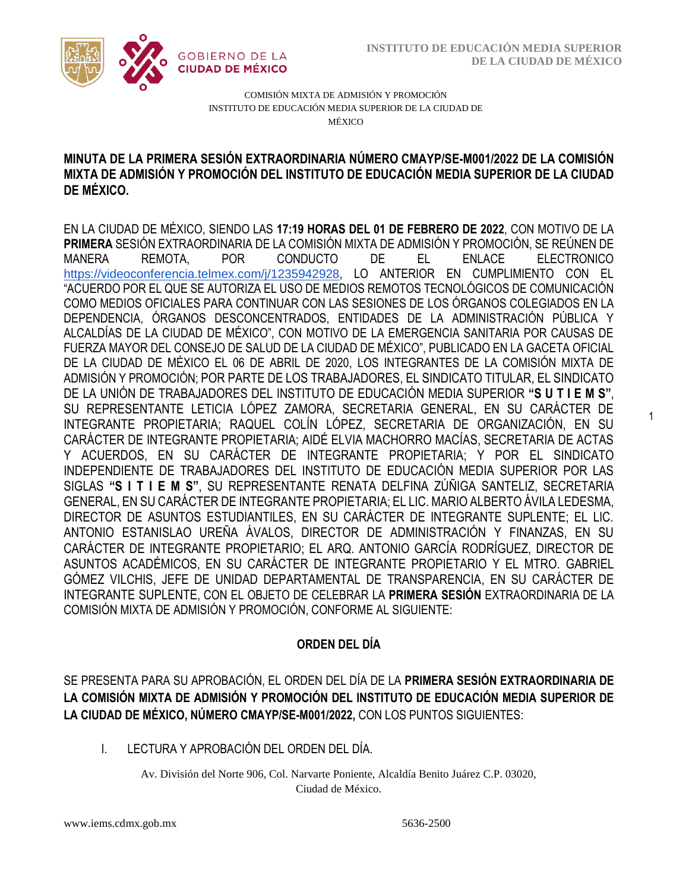1



COMISIÓN MIXTA DE ADMISIÓN Y PROMOCIÓN INSTITUTO DE EDUCACIÓN MEDIA SUPERIOR DE LA CIUDAD DE MÉXICO

# MIXTA DE ADMISIÓN Y PROMOCIÓN DEL INSTITUTO DE EDUCACIÓN MEDIA SUPERIOR DE LA CIUDAD **MINUTA DE LA PRIMERA SESIÓN EXTRAORDINARIA NÚMERO CMAYP/SE-M001/2022 DE LA COMISIÓN DE MÉXICO.**

EN LA CIUDAD DE MÉXICO, SIENDO LAS **17:19 HORAS DEL 01 DE FEBRERO DE 2022**, CON MOTIVO DE LA **PRIMERA** SESIÓN EXTRAORDINARIA DE LA COMISIÓN MIXTA DE ADMISIÓN Y PROMOCIÓN, SE REÚNEN DE MANERA REMOTA, POR CONDUCTO DE EL ENLACE ELECTRONICO <https://videoconferencia.telmex.com/j/1235942928>, LO ANTERIOR EN CUMPLIMIENTO CON EL "ACUERDO POR EL QUE SE AUTORIZA EL USO DE MEDIOS REMOTOS TECNOLÓGICOS DE COMUNICACIÓN COMO MEDIOS OFICIALES PARA CONTINUAR CON LAS SESIONES DE LOS ÓRGANOS COLEGIADOS EN LA DEPENDENCIA, ÓRGANOS DESCONCENTRADOS, ENTIDADES DE LA ADMINISTRACIÓN PÚBLICA Y ALCALDÍAS DE LA CIUDAD DE MÉXICO", CON MOTIVO DE LA EMERGENCIA SANITARIA POR CAUSAS DE FUERZA MAYOR DEL CONSEJO DE SALUD DE LA CIUDAD DE MÉXICO", PUBLICADO EN LA GACETA OFICIAL DE LA CIUDAD DE MÉXICO EL 06 DE ABRIL DE 2020, LOS INTEGRANTES DE LA COMISIÓN MIXTA DE ADMISIÓN Y PROMOCIÓN; POR PARTE DE LOS TRABAJADORES, EL SINDICATO TITULAR, EL SINDICATO DE LA UNIÓN DE TRABAJADORES DEL INSTITUTO DE EDUCACIÓN MEDIA SUPERIOR **"S U T I E M S"**, SU REPRESENTANTE LETICIA LÓPEZ ZAMORA, SECRETARIA GENERAL, EN SU CARÁCTER DE INTEGRANTE PROPIETARIA; RAQUEL COLÍN LÓPEZ, SECRETARIA DE ORGANIZACIÓN, EN SU CARÁCTER DE INTEGRANTE PROPIETARIA; AIDÉ ELVIA MACHORRO MACÍAS, SECRETARIA DE ACTAS Y ACUERDOS, EN SU CARÁCTER DE INTEGRANTE PROPIETARIA; Y POR EL SINDICATO INDEPENDIENTE DE TRABAJADORES DEL INSTITUTO DE EDUCACIÓN MEDIA SUPERIOR POR LAS SIGLAS **"S I T I E M S"**, SU REPRESENTANTE RENATA DELFINA ZÚÑIGA SANTELIZ, SECRETARIA GENERAL, EN SU CARÁCTER DE INTEGRANTE PROPIETARIA; EL LIC. MARIO ALBERTO ÁVILA LEDESMA, DIRECTOR DE ASUNTOS ESTUDIANTILES, EN SU CARÁCTER DE INTEGRANTE SUPLENTE; EL LIC. ANTONIO ESTANISLAO UREÑA ÁVALOS, DIRECTOR DE ADMINISTRACIÓN Y FINANZAS, EN SU CARÁCTER DE INTEGRANTE PROPIETARIO; EL ARQ. ANTONIO GARCÍA RODRÍGUEZ, DIRECTOR DE ASUNTOS ACADÉMICOS, EN SU CARÁCTER DE INTEGRANTE PROPIETARIO Y EL MTRO. GABRIEL GÓMEZ VILCHIS, JEFE DE UNIDAD DEPARTAMENTAL DE TRANSPARENCIA, EN SU CARÁCTER DE INTEGRANTE SUPLENTE, CON EL OBJETO DE CELEBRAR LA **PRIMERA SESIÓN** EXTRAORDINARIA DE LA COMISIÓN MIXTA DE ADMISIÓN Y PROMOCIÓN, CONFORME AL SIGUIENTE:

# **ORDEN DEL DÍA**

SE PRESENTA PARA SU APROBACIÓN, EL ORDEN DEL DÍA DE LA **PRIMERA SESIÓN EXTRAORDINARIA DE LA COMISIÓN MIXTA DE ADMISIÓN Y PROMOCIÓN DEL INSTITUTO DE EDUCACIÓN MEDIA SUPERIOR DE LA CIUDAD DE MÉXICO, NÚMERO CMAYP/SE-M001/2022,** CON LOS PUNTOS SIGUIENTES:

I. LECTURA Y APROBACIÓN DEL ORDEN DEL DÍA.

Av. División del Norte 906, Col. Narvarte Poniente, Alcaldía Benito Juárez C.P. 03020, Ciudad de México.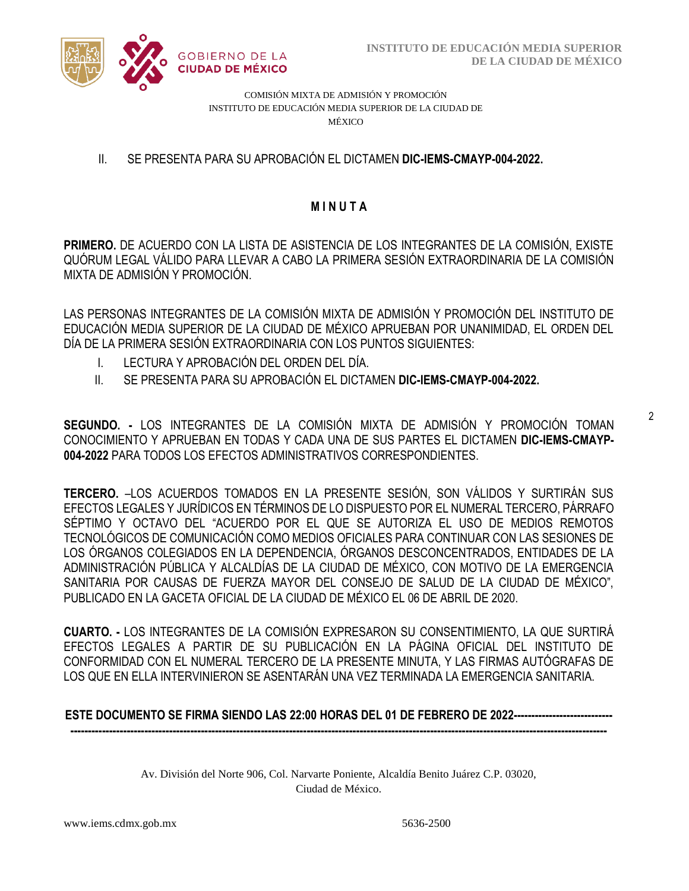

COMISIÓN MIXTA DE ADMISIÓN Y PROMOCIÓN INSTITUTO DE EDUCACIÓN MEDIA SUPERIOR DE LA CIUDAD DE MÉXICO

# II. SE PRESENTA PARA SU APROBACIÓN EL DICTAMEN **DIC-IEMS-CMAYP-004-2022.**

# **M I N U T A**

**PRIMERO.** DE ACUERDO CON LA LISTA DE ASISTENCIA DE LOS INTEGRANTES DE LA COMISIÓN, EXISTE QUÓRUM LEGAL VÁLIDO PARA LLEVAR A CABO LA PRIMERA SESIÓN EXTRAORDINARIA DE LA COMISIÓN MIXTA DE ADMISIÓN Y PROMOCIÓN.

LAS PERSONAS INTEGRANTES DE LA COMISIÓN MIXTA DE ADMISIÓN Y PROMOCIÓN DEL INSTITUTO DE EDUCACIÓN MEDIA SUPERIOR DE LA CIUDAD DE MÉXICO APRUEBAN POR UNANIMIDAD, EL ORDEN DEL DÍA DE LA PRIMERA SESIÓN EXTRAORDINARIA CON LOS PUNTOS SIGUIENTES:

- I. LECTURA Y APROBACIÓN DEL ORDEN DEL DÍA.
- II. SE PRESENTA PARA SU APROBACIÓN EL DICTAMEN **DIC-IEMS-CMAYP-004-2022.**

**SEGUNDO. -** LOS INTEGRANTES DE LA COMISIÓN MIXTA DE ADMISIÓN Y PROMOCIÓN TOMAN CONOCIMIENTO Y APRUEBAN EN TODAS Y CADA UNA DE SUS PARTES EL DICTAMEN **DIC-IEMS-CMAYP-004-2022** PARA TODOS LOS EFECTOS ADMINISTRATIVOS CORRESPONDIENTES.

**TERCERO.** –LOS ACUERDOS TOMADOS EN LA PRESENTE SESIÓN, SON VÁLIDOS Y SURTIRÁN SUS EFECTOS LEGALES Y JURÍDICOS EN TÉRMINOS DE LO DISPUESTO POR EL NUMERAL TERCERO, PÁRRAFO SÉPTIMO Y OCTAVO DEL "ACUERDO POR EL QUE SE AUTORIZA EL USO DE MEDIOS REMOTOS TECNOLÓGICOS DE COMUNICACIÓN COMO MEDIOS OFICIALES PARA CONTINUAR CON LAS SESIONES DE LOS ÓRGANOS COLEGIADOS EN LA DEPENDENCIA, ÓRGANOS DESCONCENTRADOS, ENTIDADES DE LA ADMINISTRACIÓN PÚBLICA Y ALCALDÍAS DE LA CIUDAD DE MÉXICO, CON MOTIVO DE LA EMERGENCIA SANITARIA POR CAUSAS DE FUERZA MAYOR DEL CONSEJO DE SALUD DE LA CIUDAD DE MÉXICO", PUBLICADO EN LA GACETA OFICIAL DE LA CIUDAD DE MÉXICO EL 06 DE ABRIL DE 2020.

**CUARTO. -** LOS INTEGRANTES DE LA COMISIÓN EXPRESARON SU CONSENTIMIENTO, LA QUE SURTIRÁ EFECTOS LEGALES A PARTIR DE SU PUBLICACIÓN EN LA PÁGINA OFICIAL DEL INSTITUTO DE CONFORMIDAD CON EL NUMERAL TERCERO DE LA PRESENTE MINUTA, Y LAS FIRMAS AUTÓGRAFAS DE LOS QUE EN ELLA INTERVINIERON SE ASENTARÁN UNA VEZ TERMINADA LA EMERGENCIA SANITARIA.

# **ESTE DOCUMENTO SE FIRMA SIENDO LAS 22:00 HORAS DEL 01 DE FEBRERO DE 2022----------------------------**

Av. División del Norte 906, Col. Narvarte Poniente, Alcaldía Benito Juárez C.P. 03020, Ciudad de México.

**--------------------------------------------------------------------------------------------------------------------------------------------------------**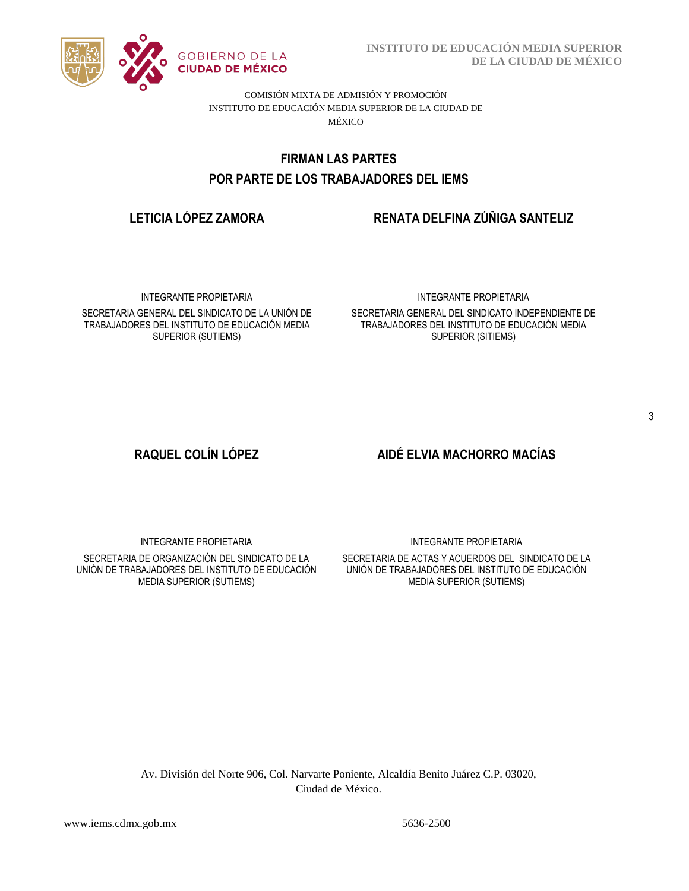

**INSTITUTO DE EDUCACIÓN MEDIA SUPERIOR DE LA CIUDAD DE MÉXICO**

COMISIÓN MIXTA DE ADMISIÓN Y PROMOCIÓN INSTITUTO DE EDUCACIÓN MEDIA SUPERIOR DE LA CIUDAD DE MÉXICO

# POR PARTE DE LOS TRABAJADORES DEL IEMS **FIRMAN LAS PARTES**

# **LETICIA LÓPEZ ZAMORA RENATA DELFINA ZÚÑIGA SANTELIZ**

INTEGRANTE PROPIETARIA SECRETARIA GENERAL DEL SINDICATO DE LA UNIÓN DE TRABAJADORES DEL INSTITUTO DE EDUCACIÓN MEDIA SUPERIOR (SUTIEMS)

#### INTEGRANTE PROPIETARIA

SECRETARIA GENERAL DEL SINDICATO INDEPENDIENTE DE TRABAJADORES DEL INSTITUTO DE EDUCACIÓN MEDIA SUPERIOR (SITIEMS)

# **RAQUEL COLÍN LÓPEZ AIDÉ ELVIA MACHORRO MACÍAS**

INTEGRANTE PROPIETARIA

SECRETARIA DE ORGANIZACIÓN DEL SINDICATO DE LA UNIÓN DE TRABAJADORES DEL INSTITUTO DE EDUCACIÓN MEDIA SUPERIOR (SUTIEMS)

INTEGRANTE PROPIETARIA

SECRETARIA DE ACTAS Y ACUERDOS DEL SINDICATO DE LA UNIÓN DE TRABAJADORES DEL INSTITUTO DE EDUCACIÓN MEDIA SUPERIOR (SUTIEMS)

Av. División del Norte 906, Col. Narvarte Poniente, Alcaldía Benito Juárez C.P. 03020, Ciudad de México.